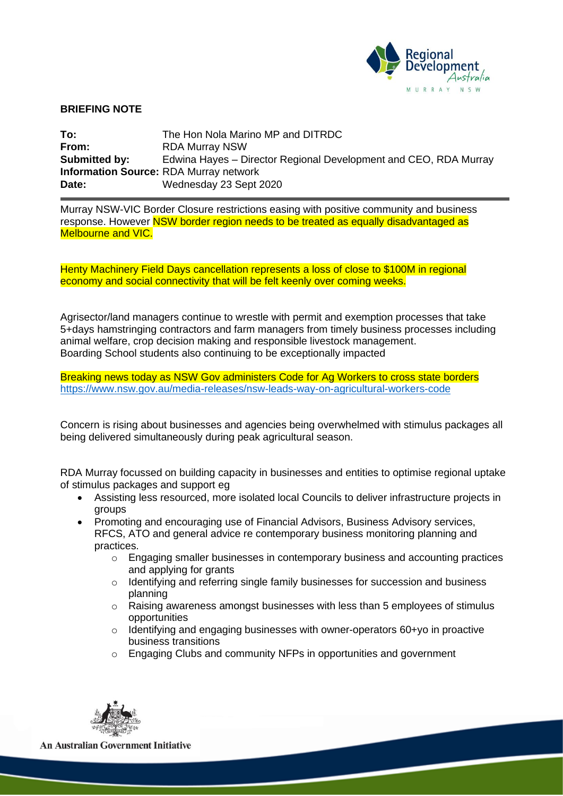

## **BRIEFING NOTE**

| To:                  | The Hon Nola Marino MP and DITRDC                                |
|----------------------|------------------------------------------------------------------|
| From:                | <b>RDA Murray NSW</b>                                            |
| <b>Submitted by:</b> | Edwina Hayes – Director Regional Development and CEO, RDA Murray |
|                      | <b>Information Source: RDA Murray network</b>                    |
| Date:                | Wednesday 23 Sept 2020                                           |

Murray NSW-VIC Border Closure restrictions easing with positive community and business response. However **NSW border region needs to be treated as equally disadvantaged as** Melbourne and VIC.

Henty Machinery Field Days cancellation represents a loss of close to \$100M in regional economy and social connectivity that will be felt keenly over coming weeks.

Agrisector/land managers continue to wrestle with permit and exemption processes that take 5+days hamstringing contractors and farm managers from timely business processes including animal welfare, crop decision making and responsible livestock management. Boarding School students also continuing to be exceptionally impacted

Breaking news today as NSW Gov administers Code for Ag Workers to cross state borders <https://www.nsw.gov.au/media-releases/nsw-leads-way-on-agricultural-workers-code>

Concern is rising about businesses and agencies being overwhelmed with stimulus packages all being delivered simultaneously during peak agricultural season.

RDA Murray focussed on building capacity in businesses and entities to optimise regional uptake of stimulus packages and support eg

- Assisting less resourced, more isolated local Councils to deliver infrastructure projects in groups
- Promoting and encouraging use of Financial Advisors, Business Advisory services, RFCS, ATO and general advice re contemporary business monitoring planning and practices.
	- $\circ$  Engaging smaller businesses in contemporary business and accounting practices and applying for grants
	- $\circ$  Identifying and referring single family businesses for succession and business planning
	- $\circ$  Raising awareness amongst businesses with less than 5 employees of stimulus opportunities
	- $\circ$  Identifying and engaging businesses with owner-operators 60+yo in proactive business transitions
	- o Engaging Clubs and community NFPs in opportunities and government



**An Australian Government Initiative**